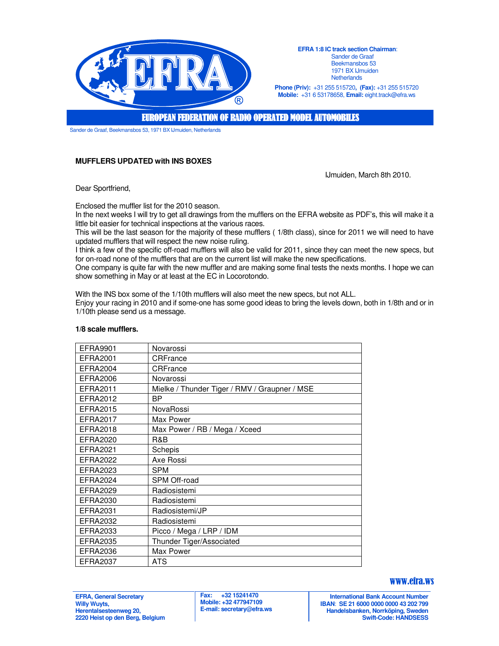

**EFRA 1:8 IC track section Chairman**: Sander de Graaf Beekmansbos 53 1971 BX IJmuiden **Netherlands** 

**Phone (Priv):** +31 255 515720**, (Fax):** +31 255 515720 **Mobile:** +31 6 53178658, **Email:** eight.track@efra.ws

**EUROPEAN FEDERATION OF RADIO OPERATED MODEL AUTOMOBILES** 

Sander de Graaf, Beekmansbos 53, 1971 BX IJmuiden, Netherlands

# **MUFFLERS UPDATED with INS BOXES**

IJmuiden, March 8th 2010.

Dear Sportfriend,

Enclosed the muffler list for the 2010 season.

In the next weeks I will try to get all drawings from the mufflers on the EFRA website as PDF's, this will make it a little bit easier for technical inspections at the various races.

This will be the last season for the majority of these mufflers ( 1/8th class), since for 2011 we will need to have updated mufflers that will respect the new noise ruling.

I think a few of the specific off-road mufflers will also be valid for 2011, since they can meet the new specs, but for on-road none of the mufflers that are on the current list will make the new specifications.

One company is quite far with the new muffler and are making some final tests the nexts months. I hope we can show something in May or at least at the EC in Locorotondo.

With the INS box some of the 1/10th mufflers will also meet the new specs, but not ALL. Enjoy your racing in 2010 and if some-one has some good ideas to bring the levels down, both in 1/8th and or in 1/10th please send us a message.

| <b>EFRA9901</b> | Novarossi                                     |
|-----------------|-----------------------------------------------|
| EFRA2001        | CRFrance                                      |
| EFRA2004        | CRFrance                                      |
| <b>EFRA2006</b> | Novarossi                                     |
| EFRA2011        | Mielke / Thunder Tiger / RMV / Graupner / MSE |
| EFRA2012        | ΒP                                            |
| EFRA2015        | NovaRossi                                     |
| EFRA2017        | Max Power                                     |
| EFRA2018        | Max Power / RB / Mega / Xceed                 |
| EFRA2020        | R&B                                           |
| EFRA2021        | Schepis                                       |
| EFRA2022        | Axe Rossi                                     |
| EFRA2023        | <b>SPM</b>                                    |
| <b>EFRA2024</b> | SPM Off-road                                  |
| <b>EFRA2029</b> | Radiosistemi                                  |
| EFRA2030        | Radiosistemi                                  |
| EFRA2031        | Radiosistemi/JP                               |
| <b>EFRA2032</b> | Radiosistemi                                  |
| EFRA2033        | Picco / Mega / LRP / IDM                      |
| <b>EFRA2035</b> | Thunder Tiger/Associated                      |
| EFRA2036        | Max Power                                     |
| <b>EFRA2037</b> | <b>ATS</b>                                    |
|                 |                                               |

#### **1/8 scale mufflers.**

#### **EFRA, General Secretary Willy Wuyts, Herentalsesteenweg 20, 2220 Heist op den Berg, Belgium**

### www.efra.ws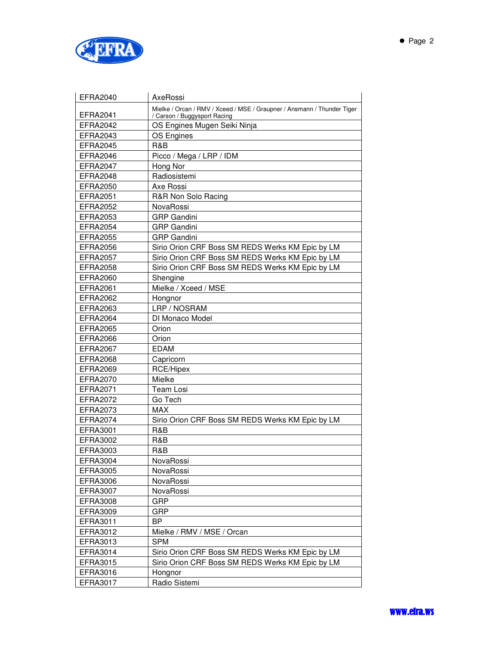

| <b>EFRA2040</b> | AxeRossi                                                                                                |
|-----------------|---------------------------------------------------------------------------------------------------------|
| <b>EFRA2041</b> | Mielke / Orcan / RMV / Xceed / MSE / Graupner / Ansmann / Thunder Tiger<br>/ Carson / Buggysport Racing |
| <b>EFRA2042</b> | OS Engines Mugen Seiki Ninja                                                                            |
| EFRA2043        | OS Engines                                                                                              |
| <b>EFRA2045</b> | R&B                                                                                                     |
| <b>EFRA2046</b> | Picco / Mega / LRP / IDM                                                                                |
| <b>EFRA2047</b> | Hong Nor                                                                                                |
| <b>EFRA2048</b> | Radiosistemi                                                                                            |
| <b>EFRA2050</b> | Axe Rossi                                                                                               |
| <b>EFRA2051</b> | R&R Non Solo Racing                                                                                     |
| <b>EFRA2052</b> | NovaRossi                                                                                               |
| <b>EFRA2053</b> | <b>GRP</b> Gandini                                                                                      |
| <b>EFRA2054</b> | <b>GRP</b> Gandini                                                                                      |
| <b>EFRA2055</b> | <b>GRP</b> Gandini                                                                                      |
| <b>EFRA2056</b> | Sirio Orion CRF Boss SM REDS Werks KM Epic by LM                                                        |
| <b>EFRA2057</b> | Sirio Orion CRF Boss SM REDS Werks KM Epic by LM                                                        |
| <b>EFRA2058</b> | Sirio Orion CRF Boss SM REDS Werks KM Epic by LM                                                        |
| <b>EFRA2060</b> | Shengine                                                                                                |
| <b>EFRA2061</b> | Mielke / Xceed / MSE                                                                                    |
| <b>EFRA2062</b> | Hongnor                                                                                                 |
| <b>EFRA2063</b> | LRP / NOSRAM                                                                                            |
| <b>EFRA2064</b> | DI Monaco Model                                                                                         |
| <b>EFRA2065</b> | Orion                                                                                                   |
| EFRA2066        | Orion                                                                                                   |
| <b>EFRA2067</b> | <b>EDAM</b>                                                                                             |
| EFRA2068        | Capricorn                                                                                               |
| <b>EFRA2069</b> | RCE/Hipex                                                                                               |
| <b>EFRA2070</b> | Mielke                                                                                                  |
| EFRA2071        | <b>Team Losi</b>                                                                                        |
| <b>EFRA2072</b> | Go Tech                                                                                                 |
| EFRA2073        | <b>MAX</b>                                                                                              |
| <b>EFRA2074</b> | Sirio Orion CRF Boss SM REDS Werks KM Epic by LM                                                        |
| EFRA3001        | R&B                                                                                                     |
| <b>EFRA3002</b> | R&B                                                                                                     |
| EFRA3003        | R&B                                                                                                     |
| EFRA3004        | NovaRossi                                                                                               |
| <b>EFRA3005</b> | NovaRossi                                                                                               |
| <b>EFRA3006</b> | NovaRossi                                                                                               |
| <b>EFRA3007</b> | NovaRossi                                                                                               |
| <b>EFRA3008</b> | GRP                                                                                                     |
| EFRA3009        | GRP                                                                                                     |
| EFRA3011        | <b>BP</b>                                                                                               |
| EFRA3012        | Mielke / RMV / MSE / Orcan                                                                              |
| EFRA3013        | <b>SPM</b>                                                                                              |
| EFRA3014        | Sirio Orion CRF Boss SM REDS Werks KM Epic by LM                                                        |
| EFRA3015        | Sirio Orion CRF Boss SM REDS Werks KM Epic by LM                                                        |
| EFRA3016        | Hongnor                                                                                                 |
| EFRA3017        | Radio Sistemi                                                                                           |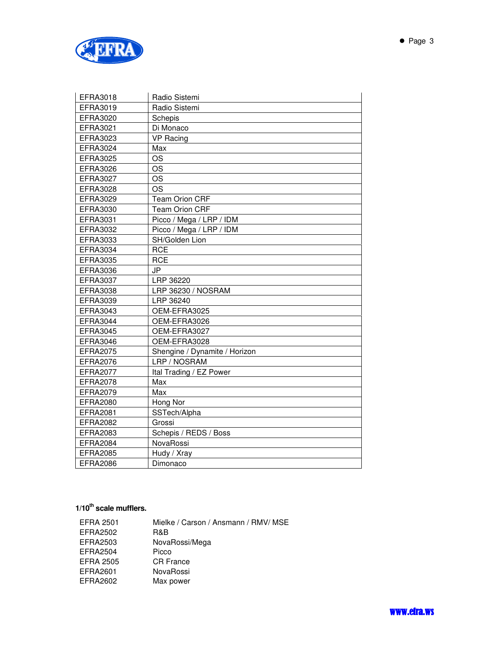

| EFRA3018        | Radio Sistemi                 |
|-----------------|-------------------------------|
| EFRA3019        | Radio Sistemi                 |
| <b>EFRA3020</b> | Schepis                       |
| <b>EFRA3021</b> | Di Monaco                     |
| EFRA3023        | <b>VP Racing</b>              |
| <b>EFRA3024</b> | Max                           |
| <b>EFRA3025</b> | <b>OS</b>                     |
| <b>EFRA3026</b> | <b>OS</b>                     |
| <b>EFRA3027</b> | <b>OS</b>                     |
| <b>EFRA3028</b> | <b>OS</b>                     |
| <b>EFRA3029</b> | <b>Team Orion CRF</b>         |
| EFRA3030        | <b>Team Orion CRF</b>         |
| EFRA3031        | Picco / Mega / LRP / IDM      |
| <b>EFRA3032</b> | Picco / Mega / LRP / IDM      |
| EFRA3033        | SH/Golden Lion                |
| EFRA3034        | <b>RCE</b>                    |
| <b>EFRA3035</b> | <b>RCE</b>                    |
| <b>EFRA3036</b> | JP                            |
| <b>EFRA3037</b> | LRP 36220                     |
| <b>EFRA3038</b> | LRP 36230 / NOSRAM            |
| EFRA3039        | LRP 36240                     |
| <b>EFRA3043</b> | OEM-EFRA3025                  |
| <b>EFRA3044</b> | OEM-EFRA3026                  |
| <b>EFRA3045</b> | OEM-EFRA3027                  |
| <b>EFRA3046</b> | OEM-EFRA3028                  |
| <b>EFRA2075</b> | Shengine / Dynamite / Horizon |
| <b>EFRA2076</b> | LRP / NOSRAM                  |
| <b>EFRA2077</b> | Ital Trading / EZ Power       |
| <b>EFRA2078</b> | Max                           |
| <b>EFRA2079</b> | Max                           |
| <b>EFRA2080</b> | Hong Nor                      |
| <b>EFRA2081</b> | SSTech/Alpha                  |
| <b>EFRA2082</b> | Grossi                        |
| <b>EFRA2083</b> | Schepis / REDS / Boss         |
| <b>EFRA2084</b> | NovaRossi                     |
| <b>EFRA2085</b> | Hudy / Xray                   |
| <b>EFRA2086</b> | Dimonaco                      |

# **1/10th scale mufflers.**

| <b>EFRA 2501</b> | Mielke / Carson / Ansmann / RMV/ MSE |
|------------------|--------------------------------------|
| EFRA2502         | R&B                                  |
| EFRA2503         | NovaRossi/Mega                       |
| EFRA2504         | Picco                                |
| EFRA 2505        | <b>CR</b> France                     |
| EFRA2601         | NovaRossi                            |
| EFRA2602         | Max power                            |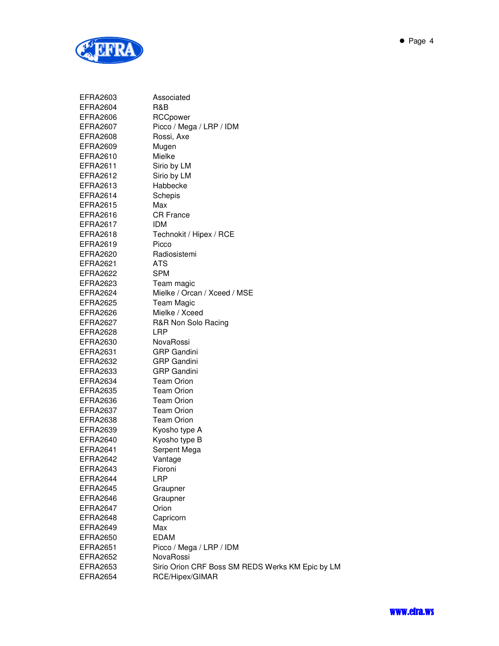

| EFRA2603        | Associated                                       |
|-----------------|--------------------------------------------------|
| EFRA2604        | R&B                                              |
| EFRA2606        | RCCpower                                         |
| EFRA2607        | Picco / Mega / LRP / IDM                         |
| EFRA2608        | Rossi, Axe                                       |
| EFRA2609        | Mugen                                            |
| EFRA2610        | Mielke                                           |
| EFRA2611        | Sirio by LM                                      |
| EFRA2612        | Sirio by LM                                      |
| EFRA2613        | Habbecke                                         |
| EFRA2614        | Schepis                                          |
| EFRA2615        | Max                                              |
| EFRA2616        | <b>CR France</b>                                 |
| EFRA2617        | IDM.                                             |
| EFRA2618        | Technokit / Hipex / RCE                          |
| EFRA2619        | Picco                                            |
| EFRA2620        | Radiosistemi                                     |
| EFRA2621        | ATS                                              |
| EFRA2622        | <b>SPM</b>                                       |
| EFRA2623        | Team magic                                       |
| EFRA2624        | Mielke / Orcan / Xceed / MSE                     |
| EFRA2625        | Team Magic                                       |
| EFRA2626        | Mielke / Xceed                                   |
| EFRA2627        | R&R Non Solo Racing                              |
| EFRA2628        | LRP                                              |
| EFRA2630        | NovaRossi                                        |
| EFRA2631        | <b>GRP Gandini</b>                               |
| EFRA2632        | <b>GRP Gandini</b>                               |
| EFRA2633        | <b>GRP Gandini</b>                               |
| EFRA2634        | <b>Team Orion</b>                                |
| EFRA2635        | <b>Team Orion</b>                                |
| EFRA2636        | <b>Team Orion</b>                                |
| EFRA2637        | <b>Team Orion</b>                                |
| EFRA2638        | <b>Team Orion</b>                                |
| EFRA2639        | Kyosho type A                                    |
| EFRA2640        | Kyosho type B                                    |
| EFRA2641        | Serpent Mega                                     |
| EFRA2642        | Vantage                                          |
| <b>EFRA2643</b> | <b>Fioroni</b>                                   |
| EFRA2644        | <b>LRP</b>                                       |
| <b>EFRA2645</b> | Graupner                                         |
| EFRA2646        | Graupner                                         |
| EFRA2647        | Orion                                            |
| EFRA2648        | Capricorn                                        |
| <b>EFRA2649</b> | Max                                              |
| <b>EFRA2650</b> | <b>EDAM</b>                                      |
| <b>EFRA2651</b> | Picco / Mega / LRP / IDM                         |
| EFRA2652        | NovaRossi                                        |
| <b>EFRA2653</b> | Sirio Orion CRF Boss SM REDS Werks KM Epic by LM |
| EFRA2654        | RCE/Hipex/GIMAR                                  |
|                 |                                                  |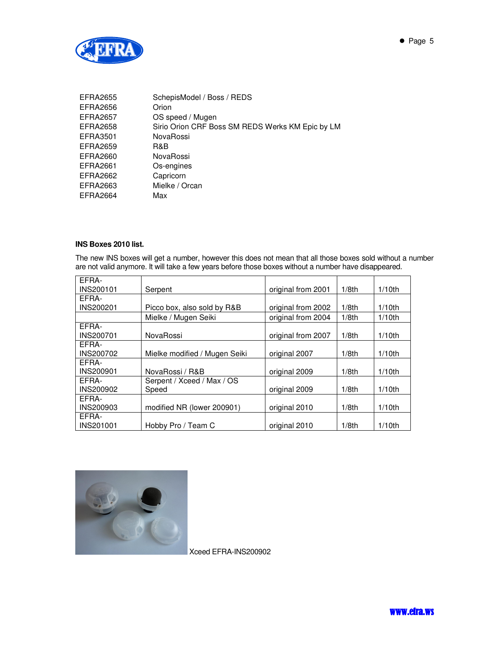

| <b>EFRA2655</b> | SchepisModel / Boss / REDS                       |
|-----------------|--------------------------------------------------|
| EFRA2656        | Orion                                            |
| <b>EFRA2657</b> | OS speed / Mugen                                 |
| EFRA2658        | Sirio Orion CRF Boss SM REDS Werks KM Epic by LM |
| EFRA3501        | NovaRossi                                        |
| EFRA2659        | R&B                                              |
| EFRA2660        | NovaRossi                                        |
| EFRA2661        | Os-engines                                       |
| EFRA2662        | Capricorn                                        |
| EFRA2663        | Mielke / Orcan                                   |
| EFRA2664        | Max                                              |

## **INS Boxes 2010 list.**

The new INS boxes will get a number, however this does not mean that all those boxes sold without a number are not valid anymore. It will take a few years before those boxes without a number have disappeared.

| FFRA-            |                               |                    |          |           |
|------------------|-------------------------------|--------------------|----------|-----------|
| INS200101        | Serpent                       | original from 2001 | $1/8$ th | $1/10$ th |
| EFRA-            |                               |                    |          |           |
| <b>INS200201</b> | Picco box, also sold by R&B   | original from 2002 | $1/8$ th | $1/10$ th |
|                  | Mielke / Mugen Seiki          | original from 2004 | $1/8$ th | $1/10$ th |
| FFRA-            |                               |                    |          |           |
| <b>INS200701</b> | NovaRossi                     | original from 2007 | $1/8$ th | $1/10$ th |
| EFRA-            |                               |                    |          |           |
| <b>INS200702</b> | Mielke modified / Mugen Seiki | original 2007      | $1/8$ th | $1/10$ th |
| FFRA-            |                               |                    |          |           |
| <b>INS200901</b> | NovaRossi / R&B               | original 2009      | $1/8$ th | $1/10$ th |
| FFRA-            | Serpent / Xceed / Max / OS    |                    |          |           |
| <b>INS200902</b> | Speed                         | original 2009      | $1/8$ th | $1/10$ th |
| EFRA-            |                               |                    |          |           |
| <b>INS200903</b> | modified NR (lower 200901)    | original 2010      | $1/8$ th | $1/10$ th |
| EFRA-            |                               |                    |          |           |
| <b>INS201001</b> | Hobby Pro / Team C            | original 2010      | $1/8$ th | $1/10$ th |



Xceed EFRA-INS200902